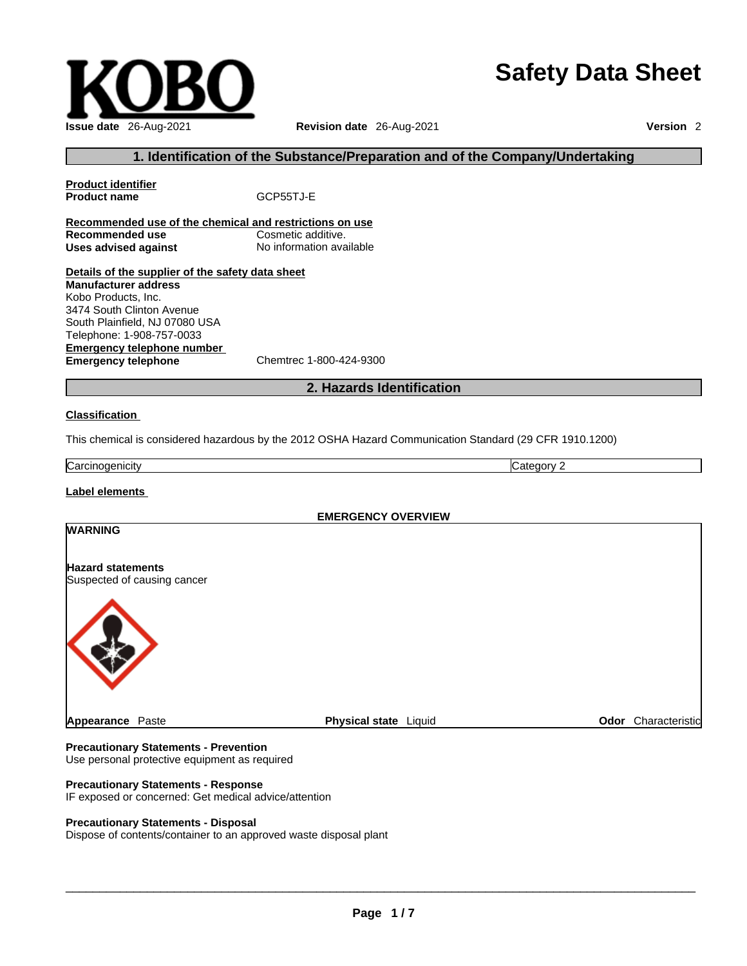# **Safety Data Sheet**



#### **1. Identification of the Substance/Preparation and of the Company/Undertaking**

**Product identifier Product name GCP55TJ-E Recommended use of the chemical and restrictions on use Recommended use Cosmetic additive.<br>
<b>Uses advised against** No information available **Uses advised against Details of the supplier of the safety data sheet Manufacturer address** Kobo Products, Inc. 3474 South Clinton Avenue South Plainfield, NJ 07080 USA

**Emergency telephone number**<br> **Emergency telephone**<br>
Chemtrec 1-800-424-9300 **Emergency telephone** Telephone: 1-908-757-0033

#### **2. Hazards Identification**

#### **Classification**

This chemical is considered hazardous by the 2012 OSHA Hazard Communication Standard (29 CFR 1910.1200)

Carcinogenicity Category 2

#### **Label elements**

|                                                  | <b>EMERGENCY OVERVIEW</b> |                     |
|--------------------------------------------------|---------------------------|---------------------|
| <b>WARNING</b>                                   |                           |                     |
| Hazard statements<br>Suspected of causing cancer |                           |                     |
|                                                  |                           |                     |
| <b>Appearance Paste</b>                          | Physical state Liquid     | Odor Characteristic |

#### **Precautionary Statements - Prevention** Use personal protective equipment as required

**Precautionary Statements - Response**

#### IF exposed or concerned: Get medical advice/attention

#### **Precautionary Statements - Disposal**

Dispose of contents/container to an approved waste disposal plant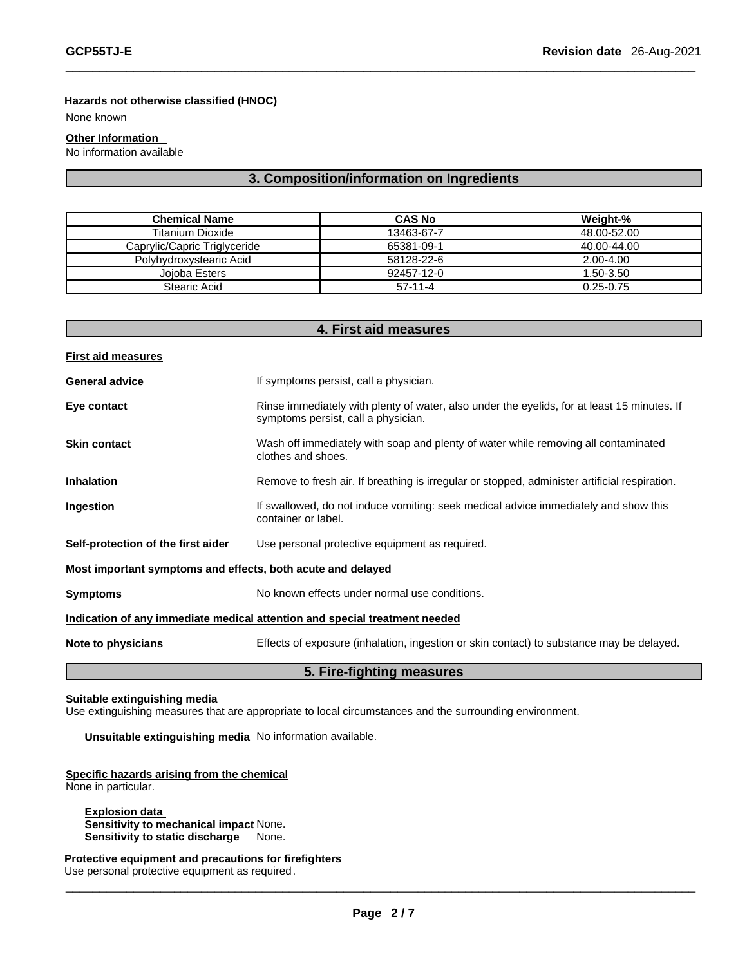#### **Hazards not otherwise classified (HNOC)**

None known

#### **Other Information**

No information available

#### **3. Composition/information on Ingredients**

 $\overline{\phantom{a}}$  ,  $\overline{\phantom{a}}$  ,  $\overline{\phantom{a}}$  ,  $\overline{\phantom{a}}$  ,  $\overline{\phantom{a}}$  ,  $\overline{\phantom{a}}$  ,  $\overline{\phantom{a}}$  ,  $\overline{\phantom{a}}$  ,  $\overline{\phantom{a}}$  ,  $\overline{\phantom{a}}$  ,  $\overline{\phantom{a}}$  ,  $\overline{\phantom{a}}$  ,  $\overline{\phantom{a}}$  ,  $\overline{\phantom{a}}$  ,  $\overline{\phantom{a}}$  ,  $\overline{\phantom{a}}$ 

| Chemical Name                | <b>CAS No</b> | Weight-%      |
|------------------------------|---------------|---------------|
| Titanium Dioxide             | 13463-67-7    | 48.00-52.00   |
| Caprylic/Capric Triglyceride | 65381-09-1    | 40.00-44.00   |
| Polyhydroxystearic Acid      | 58128-22-6    | 2.00-4.00     |
| Joioba Esters                | 92457-12-0    | 1.50-3.50     |
| Stearic Acid                 | $57-11-4$     | $0.25 - 0.75$ |

|                                                             | 4. First aid measures                                                                                                              |  |
|-------------------------------------------------------------|------------------------------------------------------------------------------------------------------------------------------------|--|
| <b>First aid measures</b>                                   |                                                                                                                                    |  |
| <b>General advice</b>                                       | If symptoms persist, call a physician.                                                                                             |  |
| Eye contact                                                 | Rinse immediately with plenty of water, also under the eyelids, for at least 15 minutes. If<br>symptoms persist, call a physician. |  |
| <b>Skin contact</b>                                         | Wash off immediately with soap and plenty of water while removing all contaminated<br>clothes and shoes.                           |  |
| <b>Inhalation</b>                                           | Remove to fresh air. If breathing is irregular or stopped, administer artificial respiration.                                      |  |
| Ingestion                                                   | If swallowed, do not induce vomiting: seek medical advice immediately and show this<br>container or label.                         |  |
| Self-protection of the first aider                          | Use personal protective equipment as required.                                                                                     |  |
| Most important symptoms and effects, both acute and delayed |                                                                                                                                    |  |
| <b>Symptoms</b>                                             | No known effects under normal use conditions.                                                                                      |  |
|                                                             | Indication of any immediate medical attention and special treatment needed                                                         |  |
| Note to physicians                                          | Effects of exposure (inhalation, ingestion or skin contact) to substance may be delayed.                                           |  |
|                                                             | 5. Fire-fighting measures                                                                                                          |  |

#### **Suitable extinguishing media**

Use extinguishing measures that are appropriate to local circumstances and the surrounding environment.

**Unsuitable extinguishing media** No information available.

#### **Specific hazards arising from the chemical** None in particular.

**Explosion data Sensitivity to mechanical impact** None. **Sensitivity to static discharge** None.

**Protective equipment and precautions for firefighters** Use personal protective equipment as required.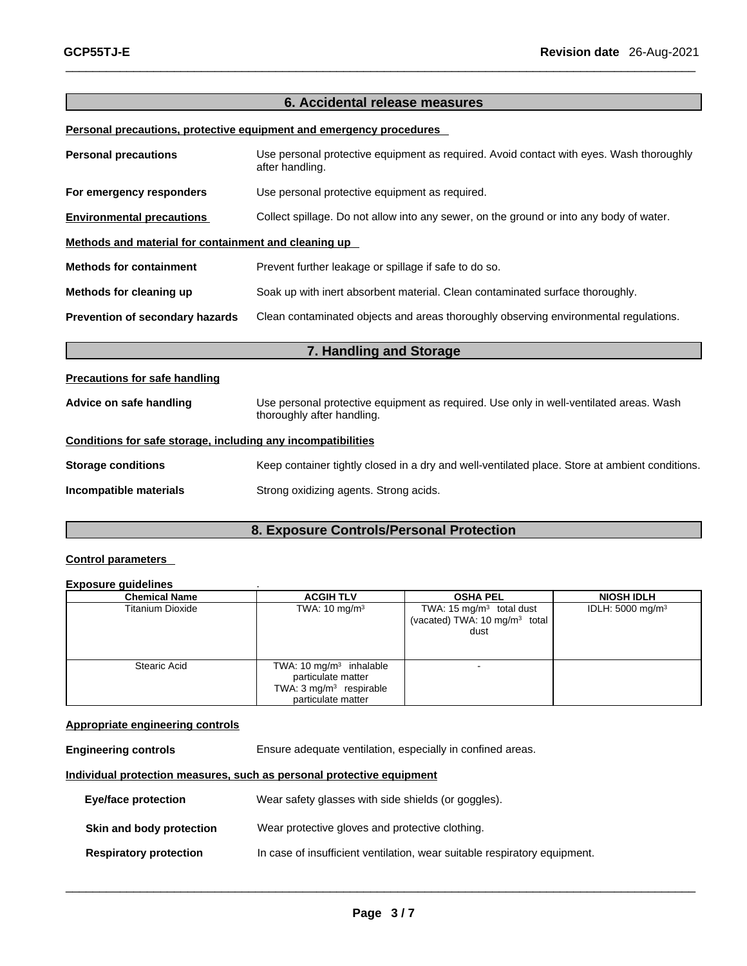#### **6. Accidental release measures**

 $\_$  ,  $\_$  ,  $\_$  ,  $\_$  ,  $\_$  ,  $\_$  ,  $\_$  ,  $\_$  ,  $\_$  ,  $\_$  ,  $\_$  ,  $\_$  ,  $\_$  ,  $\_$  ,  $\_$  ,  $\_$  ,  $\_$  ,  $\_$  ,  $\_$  ,  $\_$  ,  $\_$  ,  $\_$  ,  $\_$  ,  $\_$  ,  $\_$  ,  $\_$  ,  $\_$  ,  $\_$  ,  $\_$  ,  $\_$  ,  $\_$  ,  $\_$  ,  $\_$  ,  $\_$  ,  $\_$  ,  $\_$  ,  $\_$  ,

#### **Personal precautions, protective equipment and emergency procedures**

| <b>Personal precautions</b>                                  | Use personal protective equipment as required. Avoid contact with eyes. Wash thoroughly<br>after handling.           |
|--------------------------------------------------------------|----------------------------------------------------------------------------------------------------------------------|
| For emergency responders                                     | Use personal protective equipment as required.                                                                       |
| <b>Environmental precautions</b>                             | Collect spillage. Do not allow into any sewer, on the ground or into any body of water.                              |
| Methods and material for containment and cleaning up         |                                                                                                                      |
| <b>Methods for containment</b>                               | Prevent further leakage or spillage if safe to do so.                                                                |
| Methods for cleaning up                                      | Soak up with inert absorbent material. Clean contaminated surface thoroughly.                                        |
| Prevention of secondary hazards                              | Clean contaminated objects and areas thoroughly observing environmental regulations.                                 |
|                                                              | 7. Handling and Storage                                                                                              |
| <b>Precautions for safe handling</b>                         |                                                                                                                      |
| Advice on safe handling                                      | Use personal protective equipment as required. Use only in well-ventilated areas. Wash<br>thoroughly after handling. |
| Conditions for safe storage, including any incompatibilities |                                                                                                                      |
|                                                              |                                                                                                                      |

**Incompatible materials** Strong oxidizing agents. Strong acids.

### **8. Exposure Controls/Personal Protection**

#### **Control parameters**

#### **Exposure guidelines** .

| <b>Chemical Name</b>    | <b>ACGIH TLV</b>                                                                                            | <b>OSHA PEL</b>                                                                 | <b>NIOSH IDLH</b>            |
|-------------------------|-------------------------------------------------------------------------------------------------------------|---------------------------------------------------------------------------------|------------------------------|
| <b>Titanium Dioxide</b> | TWA: $10 \text{ mg/m}^3$                                                                                    | TWA: 15 $mg/m3$ total dust<br>(vacated) TWA: 10 mg/m <sup>3</sup> total<br>dust | IDLH: 5000 mg/m <sup>3</sup> |
| <b>Stearic Acid</b>     | TWA: 10 $mg/m3$ inhalable<br>particulate matter<br>TWA: $3 \text{ mg/m}^3$ respirable<br>particulate matter | -                                                                               |                              |

#### **Appropriate engineering controls**

**Engineering controls** Ensure adequate ventilation, especially in confined areas.

#### **Individual protection measures, such as personal protective equipment**

| Eye/face protection           | Wear safety glasses with side shields (or goggles).                       |
|-------------------------------|---------------------------------------------------------------------------|
| Skin and body protection      | Wear protective gloves and protective clothing.                           |
| <b>Respiratory protection</b> | In case of insufficient ventilation, wear suitable respiratory equipment. |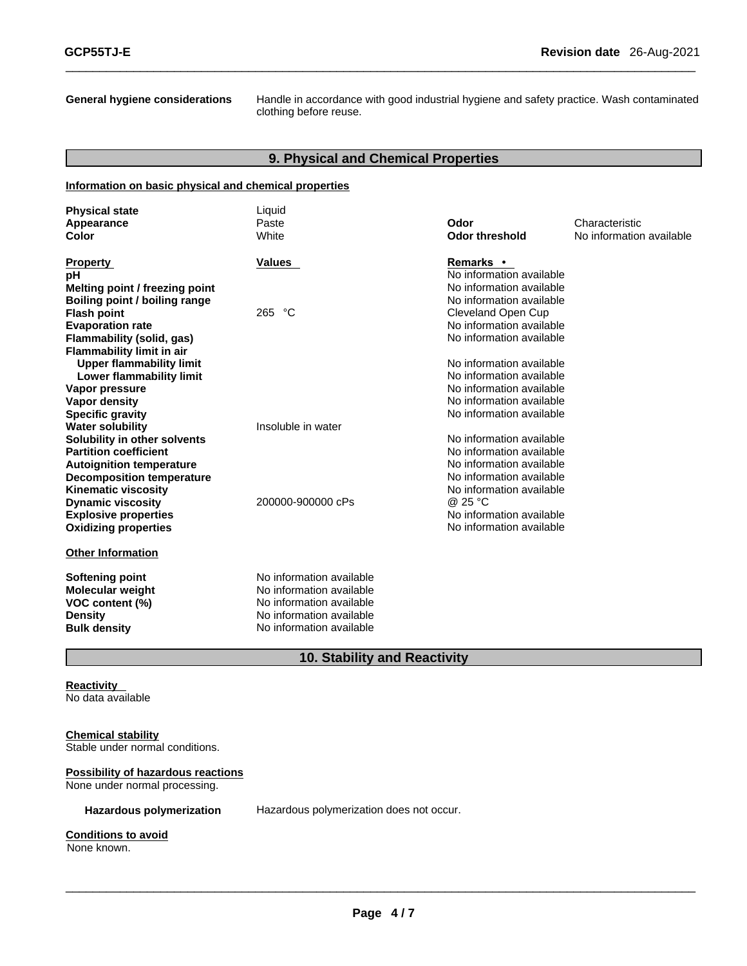**General hygiene considerations** Handle in accordance with good industrial hygiene and safety practice. Wash contaminated clothing before reuse.

#### **9. Physical and Chemical Properties**

 $\_$  ,  $\_$  ,  $\_$  ,  $\_$  ,  $\_$  ,  $\_$  ,  $\_$  ,  $\_$  ,  $\_$  ,  $\_$  ,  $\_$  ,  $\_$  ,  $\_$  ,  $\_$  ,  $\_$  ,  $\_$  ,  $\_$  ,  $\_$  ,  $\_$  ,  $\_$  ,  $\_$  ,  $\_$  ,  $\_$  ,  $\_$  ,  $\_$  ,  $\_$  ,  $\_$  ,  $\_$  ,  $\_$  ,  $\_$  ,  $\_$  ,  $\_$  ,  $\_$  ,  $\_$  ,  $\_$  ,  $\_$  ,  $\_$  ,

#### **Information on basic physical and chemical properties**

| <b>Physical state</b>            | Liquid                   |                          |                          |
|----------------------------------|--------------------------|--------------------------|--------------------------|
| Appearance                       | Paste                    | Odor                     | Characteristic           |
| Color                            | White                    | <b>Odor threshold</b>    | No information available |
|                                  |                          |                          |                          |
| <b>Property</b>                  | <b>Values</b>            | Remarks •                |                          |
| рH                               |                          | No information available |                          |
| Melting point / freezing point   |                          | No information available |                          |
| Boiling point / boiling range    |                          | No information available |                          |
| <b>Flash point</b>               | 265 °C                   | Cleveland Open Cup       |                          |
| <b>Evaporation rate</b>          |                          | No information available |                          |
| Flammability (solid, gas)        |                          | No information available |                          |
| <b>Flammability limit in air</b> |                          |                          |                          |
| <b>Upper flammability limit</b>  |                          | No information available |                          |
| Lower flammability limit         |                          | No information available |                          |
| Vapor pressure                   |                          | No information available |                          |
| Vapor density                    |                          | No information available |                          |
| <b>Specific gravity</b>          |                          | No information available |                          |
| <b>Water solubility</b>          | Insoluble in water       |                          |                          |
| Solubility in other solvents     |                          | No information available |                          |
| <b>Partition coefficient</b>     |                          | No information available |                          |
| <b>Autoignition temperature</b>  |                          | No information available |                          |
| <b>Decomposition temperature</b> |                          | No information available |                          |
| <b>Kinematic viscosity</b>       |                          | No information available |                          |
| <b>Dynamic viscosity</b>         | 200000-900000 cPs        | @ 25 °C                  |                          |
| <b>Explosive properties</b>      |                          | No information available |                          |
| <b>Oxidizing properties</b>      |                          | No information available |                          |
| <b>Other Information</b>         |                          |                          |                          |
| <b>Softening point</b>           | No information available |                          |                          |
| <b>Molecular weight</b>          | No information available |                          |                          |
| VOC content (%)                  | No information available |                          |                          |
| <b>Density</b>                   | No information available |                          |                          |
| <b>Bulk density</b>              | No information available |                          |                          |

### **10. Stability and Reactivity**

#### **Reactivity**  No data available

#### **Chemical stability**

Stable under normal conditions.

#### **Possibility of hazardous reactions**

None under normal processing.

**Hazardous polymerization** Hazardous polymerization does not occur.

#### **Conditions to avoid** None known.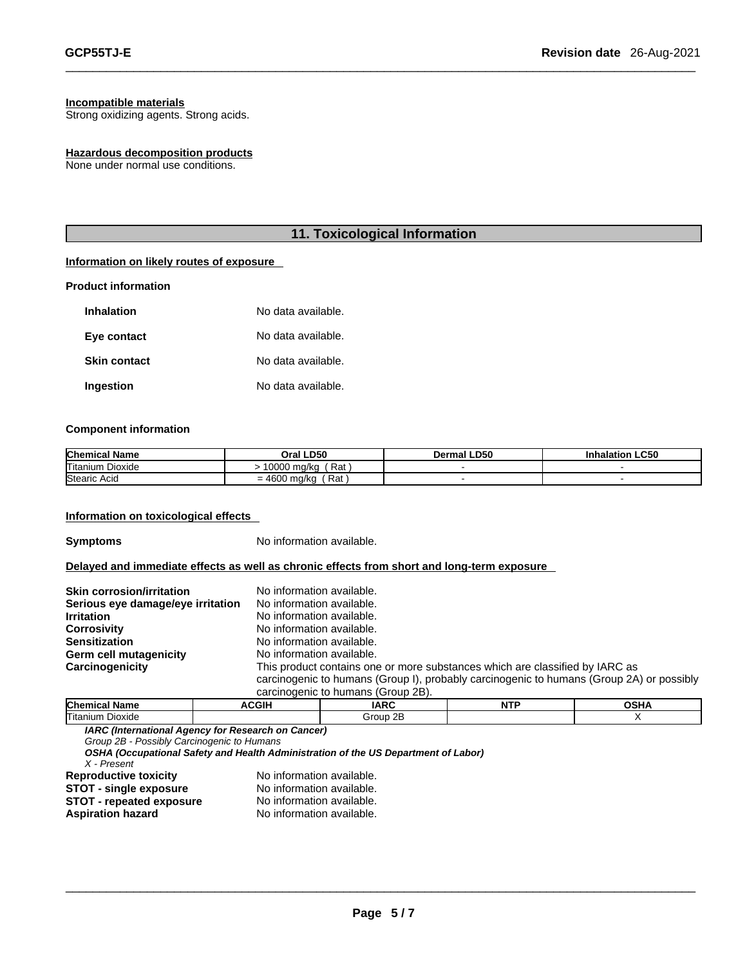#### **Incompatible materials**

Strong oxidizing agents. Strong acids.

#### **Hazardous decomposition products**

None under normal use conditions.

#### **11. Toxicological Information**

 $\_$  ,  $\_$  ,  $\_$  ,  $\_$  ,  $\_$  ,  $\_$  ,  $\_$  ,  $\_$  ,  $\_$  ,  $\_$  ,  $\_$  ,  $\_$  ,  $\_$  ,  $\_$  ,  $\_$  ,  $\_$  ,  $\_$  ,  $\_$  ,  $\_$  ,  $\_$  ,  $\_$  ,  $\_$  ,  $\_$  ,  $\_$  ,  $\_$  ,  $\_$  ,  $\_$  ,  $\_$  ,  $\_$  ,  $\_$  ,  $\_$  ,  $\_$  ,  $\_$  ,  $\_$  ,  $\_$  ,  $\_$  ,  $\_$  ,

#### **Information on likely routes of exposure**

#### **Product information**

| <b>Inhalation</b>   | No data available. |
|---------------------|--------------------|
| Eye contact         | No data available. |
| <b>Skin contact</b> | No data available. |
| Ingestion           | No data available. |

#### **Component information**

| <b>Chemical Name</b>        | Oral LD50                                                                    | <b>LD50</b><br>Dermal | <b>LC50</b><br>Inhalation |
|-----------------------------|------------------------------------------------------------------------------|-----------------------|---------------------------|
| Titanium<br>$ -$<br>Dioxide | Rat.<br>10000<br>ma/ko                                                       |                       |                           |
| Stearic Acid                | Rat<br>460C<br>m <sub>n</sub> /k <sub>n</sub><br>' iliu/Ku<br>$=4000$<br>. . |                       |                           |

#### **Information on toxicological effects**

**Symptoms** No information available.

#### **Delayed and immediate effects as well as chronic effects from short and long-term exposure**

| <b>Skin corrosion/irritation</b>  | No information available.                                                                |
|-----------------------------------|------------------------------------------------------------------------------------------|
| Serious eye damage/eye irritation | No information available.                                                                |
| <b>Irritation</b>                 | No information available.                                                                |
| <b>Corrosivity</b>                | No information available.                                                                |
| <b>Sensitization</b>              | No information available.                                                                |
| Germ cell mutagenicity            | No information available.                                                                |
| Carcinogenicity                   | This product contains one or more substances which are classified by IARC as             |
|                                   | carcinogenic to humans (Group I), probably carcinogenic to humans (Group 2A) or possibly |
|                                   | carcinogenic to humans (Group 2B).                                                       |

| <b>Chem</b><br>Name                                                                                             | CGIH | <b>IARC</b>                                                      | <b>NTP</b> | . |
|-----------------------------------------------------------------------------------------------------------------|------|------------------------------------------------------------------|------------|---|
| Titaniun<br>Dioxide                                                                                             |      | ົດ⊏<br>$\mathsf{r}\cap\mathsf{r}\mathsf{r}\cap\mathsf{r}$<br>ॱ∠∟ |            |   |
| the contract of the contract of the contract of the contract of the contract of the contract of the contract of |      |                                                                  |            |   |

*IARC (International Agency for Research on Cancer)*

*Group 2B - Possibly Carcinogenic to Humans* 

*OSHA (Occupational Safety and Health Administration of the US Department of Labor)*

*X - Present*  **Reproductive toxicity** No information available. **STOT - repeated exposure**<br>**Aspiration hazard** 

**STOT** - **single exposure** No information available.<br>**STOT** - repeated exposure No information available. **Aspiration hazard** No information available.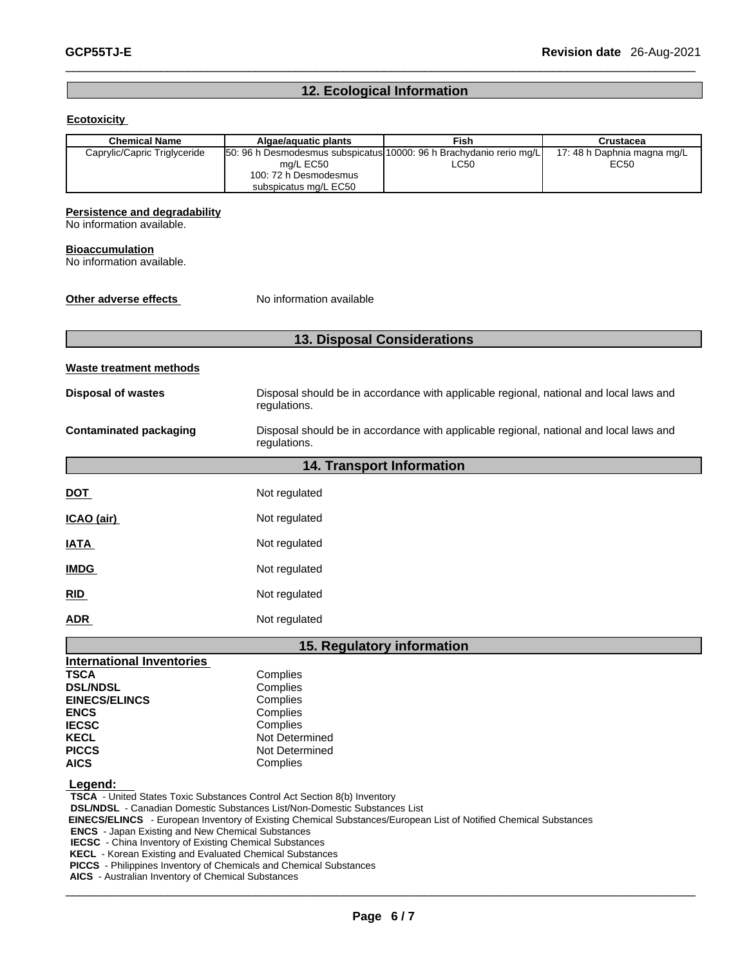## **12. Ecological Information**

 $\_$  ,  $\_$  ,  $\_$  ,  $\_$  ,  $\_$  ,  $\_$  ,  $\_$  ,  $\_$  ,  $\_$  ,  $\_$  ,  $\_$  ,  $\_$  ,  $\_$  ,  $\_$  ,  $\_$  ,  $\_$  ,  $\_$  ,  $\_$  ,  $\_$  ,  $\_$  ,  $\_$  ,  $\_$  ,  $\_$  ,  $\_$  ,  $\_$  ,  $\_$  ,  $\_$  ,  $\_$  ,  $\_$  ,  $\_$  ,  $\_$  ,  $\_$  ,  $\_$  ,  $\_$  ,  $\_$  ,  $\_$  ,  $\_$  ,

#### **Ecotoxicity**

| <b>Chemical Name</b>                                                                                                     | Algae/aquatic plants                                                                                                               | Fish                             | <b>Crustacea</b>                    |  |
|--------------------------------------------------------------------------------------------------------------------------|------------------------------------------------------------------------------------------------------------------------------------|----------------------------------|-------------------------------------|--|
| Caprylic/Capric Triglyceride                                                                                             | 50: 96 h Desmodesmus subspicatus 10000: 96 h Brachydanio rerio mg/L<br>mg/L EC50<br>100: 72 h Desmodesmus<br>subspicatus mg/L EC50 | LC50                             | 17: 48 h Daphnia magna mg/L<br>EC50 |  |
| Persistence and degradability<br>No information available.                                                               |                                                                                                                                    |                                  |                                     |  |
| <b>Bioaccumulation</b><br>No information available.                                                                      |                                                                                                                                    |                                  |                                     |  |
| Other adverse effects                                                                                                    | No information available                                                                                                           |                                  |                                     |  |
|                                                                                                                          | 13. Disposal Considerations                                                                                                        |                                  |                                     |  |
| <b>Waste treatment methods</b>                                                                                           |                                                                                                                                    |                                  |                                     |  |
| <b>Disposal of wastes</b>                                                                                                | Disposal should be in accordance with applicable regional, national and local laws and<br>regulations.                             |                                  |                                     |  |
| <b>Contaminated packaging</b>                                                                                            | Disposal should be in accordance with applicable regional, national and local laws and<br>regulations.                             |                                  |                                     |  |
|                                                                                                                          |                                                                                                                                    | <b>14. Transport Information</b> |                                     |  |
| <b>DOT</b>                                                                                                               | Not regulated                                                                                                                      |                                  |                                     |  |
| ICAO (air)                                                                                                               | Not regulated                                                                                                                      |                                  |                                     |  |
| <b>IATA</b>                                                                                                              | Not regulated                                                                                                                      |                                  |                                     |  |
| <b>IMDG</b>                                                                                                              | Not regulated                                                                                                                      |                                  |                                     |  |
| RID                                                                                                                      | Not regulated                                                                                                                      |                                  |                                     |  |
| <b>ADR</b>                                                                                                               | Not regulated                                                                                                                      |                                  |                                     |  |
|                                                                                                                          | 15. Regulatory information                                                                                                         |                                  |                                     |  |
| <b>International Inventories</b>                                                                                         |                                                                                                                                    |                                  |                                     |  |
| <b>TSCA</b>                                                                                                              | Complies                                                                                                                           |                                  |                                     |  |
| <b>DSL/NDSL</b>                                                                                                          | Complies                                                                                                                           |                                  |                                     |  |
| <b>EINECS/ELINCS</b>                                                                                                     | Complies                                                                                                                           |                                  |                                     |  |
| <b>ENCS</b>                                                                                                              | Complies                                                                                                                           |                                  |                                     |  |
| <b>IECSC</b>                                                                                                             | Complies                                                                                                                           |                                  |                                     |  |
| <b>KECL</b>                                                                                                              | Not Determined                                                                                                                     |                                  |                                     |  |
| <b>PICCS</b>                                                                                                             | Not Determined                                                                                                                     |                                  |                                     |  |
| <b>AICS</b>                                                                                                              | Complies                                                                                                                           |                                  |                                     |  |
|                                                                                                                          |                                                                                                                                    |                                  |                                     |  |
| Legend:                                                                                                                  |                                                                                                                                    |                                  |                                     |  |
|                                                                                                                          | <b>TSCA</b> - United States Toxic Substances Control Act Section 8(b) Inventory                                                    |                                  |                                     |  |
|                                                                                                                          | <b>DSL/NDSL</b> - Canadian Domestic Substances List/Non-Domestic Substances List                                                   |                                  |                                     |  |
|                                                                                                                          | EINECS/ELINCS - European Inventory of Existing Chemical Substances/European List of Notified Chemical Substances                   |                                  |                                     |  |
| <b>ENCS</b> - Japan Existing and New Chemical Substances                                                                 |                                                                                                                                    |                                  |                                     |  |
| <b>IECSC</b> - China Inventory of Existing Chemical Substances<br>KECL Koroan Existing and Evaluated Chamical Substances |                                                                                                                                    |                                  |                                     |  |

**KECL** - Korean Existing and Evaluated Chemical Substances

**PICCS** - Philippines Inventory of Chemicals and Chemical Substances

 $\_$  ,  $\_$  ,  $\_$  ,  $\_$  ,  $\_$  ,  $\_$  ,  $\_$  ,  $\_$  ,  $\_$  ,  $\_$  ,  $\_$  ,  $\_$  ,  $\_$  ,  $\_$  ,  $\_$  ,  $\_$  ,  $\_$  ,  $\_$  ,  $\_$  ,  $\_$  ,  $\_$  ,  $\_$  ,  $\_$  ,  $\_$  ,  $\_$  ,  $\_$  ,  $\_$  ,  $\_$  ,  $\_$  ,  $\_$  ,  $\_$  ,  $\_$  ,  $\_$  ,  $\_$  ,  $\_$  ,  $\_$  ,  $\_$  , **AICS** - Australian Inventory of Chemical Substances